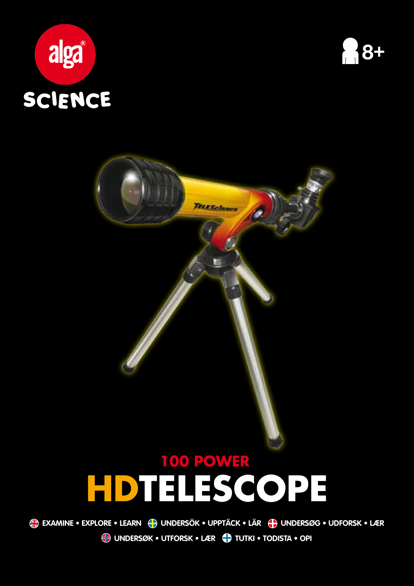





TELESclence

**Undersøk • UTFORSK • LÆR Tutki • Todista • OPI examine • EXPLORE • LEARN UNDERSÖK • UPPTÄCK • LÄR Undersøg • UDFORSK • LÆR**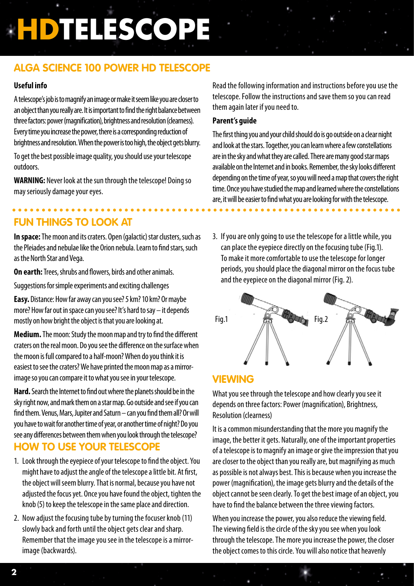## **Alga Science 100 Power HD Telescope**

#### **Useful info**

A telescope's job is to magnify an image or make it seem like you are closer to an object than you really are. It is important to find the right balance between three factors: power (magnification), brightness and resolution (clearness). Every time you increase the power, there is a corresponding reduction of brightness and resolution. When the power is too high, the object gets blurry.

To get the best possible image quality, you should use your telescope outdoors.

**WARNING:** Never look at the sun through the telescope! Doing so may seriously damage your eyes.

## **Fun things to look at**

**In space:** The moon and its craters. Open (galactic) star clusters, such as the Pleiades and nebulae like the Orion nebula. Learn to find stars, such as the North Star and Vega.

**On earth:** Trees, shrubs and flowers, birds and other animals.

Suggestions for simple experiments and exciting challenges

**Easy.** Distance: How far away can you see? 5 km? 10 km? Or maybe more? How far out in space can you see? It's hard to say – it depends mostly on how bright the object is that you are looking at.

**Medium.** The moon: Study the moon map and try to find the different craters on the real moon. Do you see the difference on the surface when the moon is full compared to a half-moon? When do you think it is easiest to see the craters? We have printed the moon map as a mirrorimage so you can compare it to what you see in your telescope.

**Hard.** Search the Internet to find out where the planets should be in the sky right now, and mark them on a star map. Go outside and see if you can find them. Venus, Mars, Jupiter and Saturn – can you find them all? Or will you have to wait for another time of year, or another time of night? Do you see any differences between them when you look through the telescope? **How to use your telescope**

- 1. Look through the eyepiece of your telescope to find the object. You might have to adjust the angle of the telescope a little bit. At first, the object will seem blurry. That is normal, because you have not adjusted the focus yet. Once you have found the object, tighten the knob (5) to keep the telescope in the same place and direction.
- 2. Now adjust the focusing tube by turning the focuser knob (11) slowly back and forth until the object gets clear and sharp. Remember that the image you see in the telescope is a mirrorimage (backwards).

Read the following information and instructions before you use the telescope. Follow the instructions and save them so you can read them again later if you need to.

#### **Parent's guide**

The first thing you and your child should do is go outside on a clear night and look at the stars. Together, you can learn where a few constellations are in the sky and what they are called. There are many good star maps available on the Internet and in books. Remember, the sky looks different depending on the time of year, so you will need a map that covers the right time. Once you have studied the map and learned where the constellations are, it will be easier to find what you are looking for with the telescope.

3. If you are only going to use the telescope for a little while, you can place the eyepiece directly on the focusing tube (Fig.1). To make it more comfortable to use the telescope for longer periods, you should place the diagonal mirror on the focus tube and the eyepiece on the diagonal mirror (Fig. 2).



## **Viewing**

What you see through the telescope and how clearly you see it depends on three factors: Power (magnification), Brightness, Resolution (clearness)

It is a common misunderstanding that the more you magnify the image, the better it gets. Naturally, one of the important properties of a telescope is to magnify an image or give the impression that you are closer to the object than you really are, but magnifying as much as possible is not always best. This is because when you increase the power (magnification), the image gets blurry and the details of the object cannot be seen clearly. To get the best image of an object, you have to find the balance between the three viewing factors.

When you increase the power, you also reduce the viewing field. The viewing field is the circle of the sky you see when you look through the telescope. The more you increase the power, the closer the object comes to this circle. You will also notice that heavenly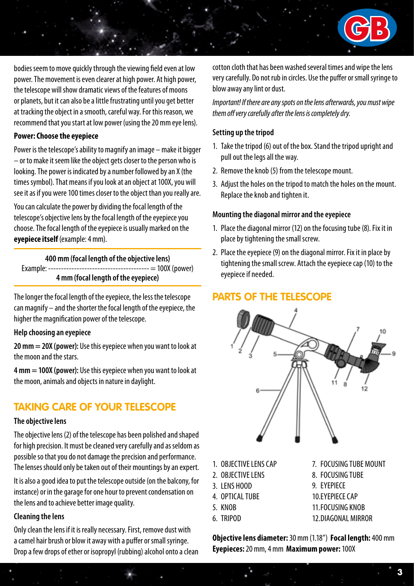

bodies seem to move quickly through the viewing field even at low power. The movement is even clearer at high power. At high power, the telescope will show dramatic views of the features of moons or planets, but it can also be a little frustrating until you get better at tracking the object in a smooth, careful way. For this reason, we recommend that you start at low power (using the 20 mm eye lens).

#### **Power: Choose the eyepiece**

Power is the telescope's ability to magnify an image – make it bigger – or to make it seem like the object gets closer to the person who is looking. The power is indicated by a number followed by an X (the times symbol). That means if you look at an object at 100X, you will see it as if you were 100 times closer to the object than you really are.

You can calculate the power by dividing the focal length of the telescope's objective lens by the focal length of the eyepiece you choose. The focal length of the eyepiece is usually marked on the **eyepiece itself** (example: 4 mm).

**400 mm (focal length of the objective lens)** Example: --------------------------------------- = 100X (power) **4 mm (focal length of the eyepiece)**

The longer the focal length of the eyepiece, the less the telescope can magnify – and the shorter the focal length of the eyepiece, the higher the magnification power of the telescope.

#### **Help choosing an eyepiece**

**20 mm = 20X (power):** Use this eyepiece when you want to look at the moon and the stars.

**4 mm = 100X (power):** Use this eyepiece when you want to look at the moon, animals and objects in nature in daylight.

## **Taking care of your telescope**

#### **The objective lens**

The objective lens (2) of the telescope has been polished and shaped for high precision. It must be cleaned very carefully and as seldom as possible so that you do not damage the precision and performance. The lenses should only be taken out of their mountings by an expert.

It is also a good idea to put the telescope outside (on the balcony, for instance) or in the garage for one hour to prevent condensation on the lens and to achieve better image quality.

#### **Cleaning the lens**

Only clean the lens if it is really necessary. First, remove dust with a camel hair brush or blow it away with a puffer or small syringe. Drop a few drops of ether or isopropyl (rubbing) alcohol onto a clean cotton cloth that has been washed several times and wipe the lens very carefully. Do not rub in circles. Use the puffer or small syringe to blow away any lint or dust.

*Important! If there are any spots on the lens afterwards, you must wipe them off very carefully after the lens is completely dry.*

#### **Setting up the tripod**

- 1. Take the tripod (6) out of the box. Stand the tripod upright and pull out the legs all the way.
- 2. Remove the knob (5) from the telescope mount.
- 3. Adjust the holes on the tripod to match the holes on the mount. Replace the knob and tighten it.

#### **Mounting the diagonal mirror and the eyepiece**

- 1. Place the diagonal mirror (12) on the focusing tube (8). Fix it in place by tightening the small screw.
- 2. Place the eyepiece (9) on the diagonal mirror. Fix it in place by tightening the small screw. Attach the eyepiece cap (10) to the eyepiece if needed.

## **Parts of the telescope**



- 1. OBJECTIVE LENS CAP
- 2. OBJECTIVE LENS
- 3. LENS HOOD
- 4. OPTICAL TUBE
- 5. KNOB
- 6. TRIPOD
- 7. FOCUSING TUBE MOUNT
- 8. FOCUSING TUBE
- 9. EYEPIECE
- 10.EYEPIECE CAP
- 11.FOCUSING KNOB
- 12.DIAGONAL MIRROR

**Objective lens diameter:** 30 mm (1.18") **Focal length:** 400 mm **Eyepieces:** 20 mm, 4 mm **Maximum power:** 100X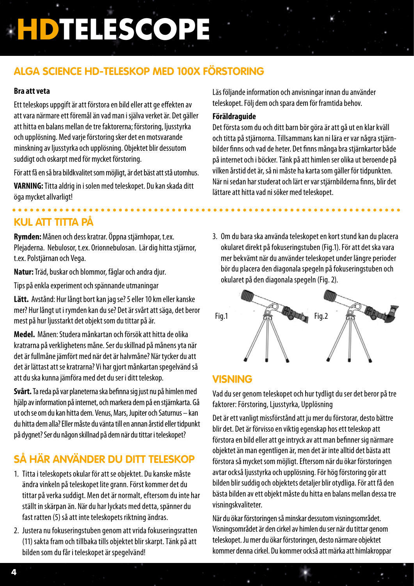## **Alga Science HD-teleskop med 100X förstoring**

#### **Bra att veta**

Ett teleskops uppgift är att förstora en bild eller att ge effekten av att vara närmare ett föremål än vad man i själva verket är. Det gäller att hitta en balans mellan de tre faktorerna; förstoring, ljusstyrka och upplösning. Med varje förstoring sker det en motsvarande minskning av ljusstyrka och upplösning. Objektet blir dessutom suddigt och oskarpt med för mycket förstoring.

För att få en så bra bildkvalitet som möjligt, är det bäst att stå utomhus.

**VARNING:** Titta aldrig in i solen med teleskopet. Du kan skada ditt öga mycket allvarligt!

## **Kul att titta på**

**Rymden:** Månen och dess kratrar. Öppna stjärnhopar, t.ex. Plejaderna. Nebulosor, t.ex. Orionnebulosan. Lär dig hitta stjärnor, t.ex. Polstjärnan och Vega.

**Natur:** Träd, buskar och blommor, fåglar och andra djur.

Tips på enkla experiment och spännande utmaningar

**Lätt.** Avstånd: Hur långt bort kan jag se? 5 eller 10 km eller kanske mer? Hur långt ut i rymden kan du se? Det är svårt att säga, det beror mest på hur ljusstarkt det objekt som du tittar på är.

**Medel.** Månen: Studera månkartan och försök att hitta de olika kratrarna på verklighetens måne. Ser du skillnad på månens yta när det är fullmåne jämfört med när det är halvmåne? När tycker du att det är lättast att se kratrarna? Vi har gjort månkartan spegelvänd så att du ska kunna jämföra med det du ser i ditt teleskop.

**Svårt.** Ta reda på var planeterna ska befinna sig just nu på himlen med hjälp av information på internet, och markera dem på en stjärnkarta. Gå ut och se om du kan hitta dem. Venus, Mars, Jupiter och Saturnus – kan du hitta dem alla? Eller måste du vänta till en annan årstid eller tidpunkt på dygnet? Ser du någon skillnad på dem när du tittar i teleskopet?

## **Så här använder du ditt teleskop**

- 1. Titta i teleskopets okular för att se objektet. Du kanske måste ändra vinkeln på teleskopet lite grann. Först kommer det du tittar på verka suddigt. Men det är normalt, eftersom du inte har ställt in skärpan än. När du har lyckats med detta, spänner du fast ratten (5) så att inte teleskopets riktning ändras.
- 2. Justera nu fokuseringstuben genom att vrida fokuseringsratten (11) sakta fram och tillbaka tills objektet blir skarpt. Tänk på att bilden som du får i teleskopet är spegelvänd!

Läs följande information och anvisningar innan du använder teleskopet. Följ dem och spara dem för framtida behov.

#### **Föräldraguide**

Det första som du och ditt barn bör göra är att gå ut en klar kväll och titta på stjärnorna. Tillsammans kan ni lära er var några stjärnbilder finns och vad de heter. Det finns många bra stjärnkartor både på internet och i böcker. Tänk på att himlen ser olika ut beroende på vilken årstid det är, så ni måste ha karta som gäller för tidpunkten. När ni sedan har studerat och lärt er var stjärnbilderna finns, blir det lättare att hitta vad ni söker med teleskopet.

3. Om du bara ska använda teleskopet en kort stund kan du placera okularet direkt på fokuseringstuben (Fig.1). För att det ska vara mer bekvämt när du använder teleskopet under längre perioder bör du placera den diagonala spegeln på fokuseringstuben och okularet på den diagonala spegeln (Fig. 2).



## **Visning**

Vad du ser genom teleskopet och hur tydligt du ser det beror på tre faktorer: Förstoring, Ljusstyrka, Upplösning

Det är ett vanligt missförstånd att ju mer du förstorar, desto bättre blir det. Det är förvisso en viktig egenskap hos ett teleskop att förstora en bild eller att ge intryck av att man befinner sig närmare objektet än man egentligen är, men det är inte alltid det bästa att förstora så mycket som möjligt. Eftersom när du ökar förstoringen avtar också ljusstyrka och upplösning. För hög förstoring gör att bilden blir suddig och objektets detaljer blir otydliga. För att få den bästa bilden av ett objekt måste du hitta en balans mellan dessa tre visningskvaliteter.

När du ökar förstoringen så minskar dessutom visningsområdet. Visningsområdet är den cirkel av himlen du ser när du tittar genom teleskopet. Ju mer du ökar förstoringen, desto närmare objektet kommer denna cirkel. Du kommer också att märka att himlakroppar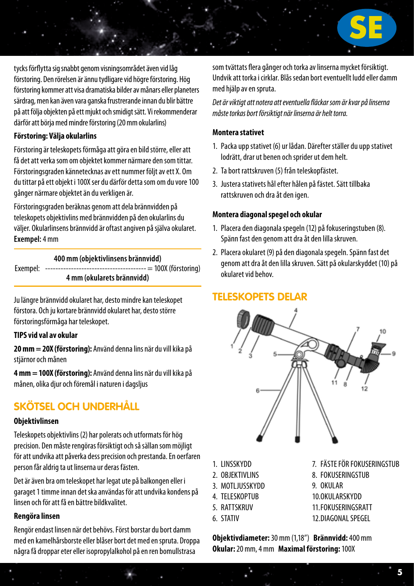

tycks förflytta sig snabbt genom visningsområdet även vid låg förstoring. Den rörelsen är ännu tydligare vid högre förstoring. Hög förstoring kommer att visa dramatiska bilder av månars eller planeters särdrag, men kan även vara ganska frustrerande innan du blir bättre på att följa objekten på ett mjukt och smidigt sätt. Vi rekommenderar därför att börja med mindre förstoring (20 mm okularlins)

#### **Förstoring: Välja okularlins**

Förstoring är teleskopets förmåga att göra en bild större, eller att få det att verka som om objektet kommer närmare den som tittar. Förstoringsgraden kännetecknas av ett nummer följt av ett X. Om du tittar på ett objekt i 100X ser du därför detta som om du vore 100 gånger närmare objektet än du verkligen är.

Förstoringsgraden beräknas genom att dela brännvidden på teleskopets objektivlins med brännvidden på den okularlins du väljer. Okularlinsens brännvidd är oftast angiven på själva okularet. **Exempel:** 4 mm

**400 mm (objektivlinsens brännvidd)** Exempel: --------------------------------------- = 100X (förstoring) **4 mm (okularets brännvidd)**

Ju längre brännvidd okularet har, desto mindre kan teleskopet förstora. Och ju kortare brännvidd okularet har, desto större förstoringsförmåga har teleskopet.

#### **TIPS vid val av okular**

**20 mm = 20X (förstoring):** Använd denna lins när du vill kika på stjärnor och månen

**4 mm = 100X (förstoring):** Använd denna lins när du vill kika på månen, olika djur och föremål i naturen i dagsljus

## **Skötsel och underhåll**

#### **Objektivlinsen**

Teleskopets objektivlins (2) har polerats och utformats för hög precision. Den måste rengöras försiktigt och så sällan som möjligt för att undvika att påverka dess precision och prestanda. En oerfaren person får aldrig ta ut linserna ur deras fästen.

Det är även bra om teleskopet har legat ute på balkongen eller i garaget 1 timme innan det ska användas för att undvika kondens på linsen och för att få en bättre bildkvalitet.

#### **Rengöra linsen**

Rengör endast linsen när det behövs. Först borstar du bort damm med en kamelhårsborste eller blåser bort det med en spruta. Droppa några få droppar eter eller isopropylalkohol på en ren bomullstrasa

som tvättats flera gånger och torka av linserna mycket försiktigt. Undvik att torka i cirklar. Blås sedan bort eventuellt ludd eller damm med hiälp av en spruta.

*Det är viktigt att notera att eventuella fläckar som är kvar på linserna måste torkas bort försiktigt när linserna är helt torra.*

#### **Montera stativet**

- 1. Packa upp stativet (6) ur lådan. Därefter ställer du upp stativet lodrätt, drar ut benen och sprider ut dem helt.
- 2. Ta bort rattskruven (5) från teleskopfästet.
- 3. Justera stativets hål efter hålen på fästet. Sätt tillbaka rattskruven och dra åt den igen.

#### **Montera diagonal spegel och okular**

- 1. Placera den diagonala spegeln (12) på fokuseringstuben (8). Spänn fast den genom att dra åt den lilla skruven.
- 2. Placera okularet (9) på den diagonala spegeln. Spänn fast det genom att dra åt den lilla skruven. Sätt på okularskyddet (10) på okularet vid behov.

## **Teleskopets delar**



- 1. LINSSKYDD
- 2. OBJEKTIVI INS
- 3. MOTLJUSSKYDD
- 4 TFI FSKOPTUR
- 5. RATTSKRUV
- 6. STATIV
- 7. FÄSTE FÖR FOKUSERINGSTUB
- 8. FOKUSERINGSTUB
- 9. OKULAR
- 10.OKULARSKYDD
- 11.FOKUSERINGSRATT
- 12.DIAGONAL SPEGEL

**Objektivdiameter:** 30 mm (1,18") **Brännvidd:** 400 mm **Okular:** 20 mm, 4 mm **Maximal förstoring:** 100X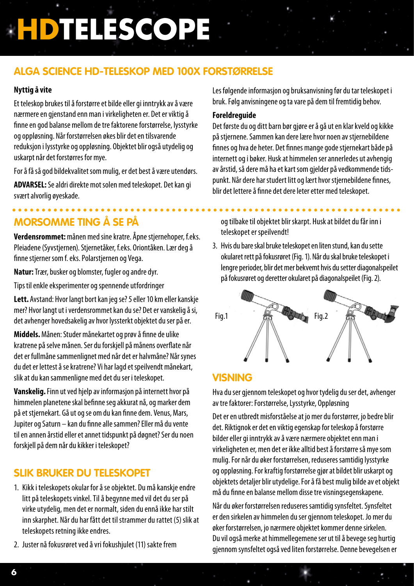## **Alga Science HD-teleskop med 100X forstørrelse**

#### **Nyttig å vite**

Et teleskop brukes til å forstørre et bilde eller gi inntrykk av å være nærmere en gjenstand enn man i virkeligheten er. Det er viktig å finne en god balanse mellom de tre faktorene forstørrelse, lysstyrke og oppløsning. Når forstørrelsen økes blir det en tilsvarende reduksjon i lysstyrke og oppløsning. Objektet blir også utydelig og uskarpt når det forstørres for mye.

For å få så god bildekvalitet som mulig, er det best å være utendørs.

**ADVARSEL:** Se aldri direkte mot solen med teleskopet. Det kan gi svært alvorlig øyeskade.

## **Morsomme ting å se på**

**Verdensrommet:** månen med sine kratre. Åpne stjernehoper, f.eks. Pleiadene (Syvstjernen). Stjernetåker, f.eks. Oriontåken. Lær deg å finne stjerner som f. eks. Polarstjernen og Vega.

**Natur:** Trær, busker og blomster, fugler og andre dyr.

Tips til enkle eksperimenter og spennende utfordringer

**Lett.** Avstand: Hvor langt bort kan jeg se? 5 eller 10 km eller kanskje mer? Hvor langt ut i verdensrommet kan du se? Det er vanskelig å si, det avhenger hovedsakelig av hvor lyssterkt objektet du ser på er.

**Middels.** Månen: Studer månekartet og prøv å finne de ulike kratrene på selve månen. Ser du forskjell på månens overflate når det er fullmåne sammenlignet med når det er halvmåne? Når synes du det er lettest å se kratrene? Vi har lagd et speilvendt månekart, slik at du kan sammenligne med det du ser i teleskopet.

**Vanskelig.** Finn ut ved hjelp av informasjon på internett hvor på himmelen planetene skal befinne seg akkurat nå, og marker dem på et stjernekart. Gå ut og se om du kan finne dem. Venus, Mars, Jupiter og Saturn – kan du finne alle sammen? Eller må du vente til en annen årstid eller et annet tidspunkt på døgnet? Ser du noen forskjell på dem når du kikker i teleskopet?

## **Slik bruker du teleskopet**

- 1. Kikk i teleskopets okular for å se objektet. Du må kanskje endre litt på teleskopets vinkel. Til å begynne med vil det du ser på virke utydelig, men det er normalt, siden du ennå ikke har stilt inn skarphet. Når du har fått det til strammer du rattet (5) slik at teleskopets retning ikke endres.
- 2. Juster nå fokusrøret ved å vri fokushjulet (11) sakte frem

Les følgende informasjon og bruksanvisning før du tar teleskopet i bruk. Følg anvisningene og ta vare på dem til fremtidig behov.

#### **Foreldreguide**

Det første du og ditt barn bør gjøre er å gå ut en klar kveld og kikke på stjernene. Sammen kan dere lære hvor noen av stjernebildene finnes og hva de heter. Det finnes mange gode stjernekart både på internett og i bøker. Husk at himmelen ser annerledes ut avhengig av årstid, så dere må ha et kart som gjelder på vedkommende tidspunkt. Når dere har studert litt og lært hvor stjernebildene finnes, blir det lettere å finne det dere leter etter med teleskopet.

og tilbake til objektet blir skarpt. Husk at bildet du får inn i teleskopet er speilvendt!

3. Hvis du bare skal bruke teleskopet en liten stund, kan du sette okularet rett på fokusrøret (Fig. 1). Når du skal bruke teleskopet i lengre perioder, blir det mer bekvemt hvis du setter diagonalspeilet på fokusrøret og deretter okularet på diagonalspeilet (Fig. 2).



## **Visning**

Hva du ser giennom teleskopet og hvor tydelig du ser det, avhenger av tre faktorer: Forstørrelse, Lysstyrke, Oppløsning

Det er en utbredt misforståelse at jo mer du forstørrer, jo bedre blir det. Riktignok er det en viktig egenskap for teleskop å forstørre bilder eller gi inntrykk av å være nærmere objektet enn man i virkeligheten er, men det er ikke alltid best å forstørre så mye som mulig. For når du øker forstørrelsen, reduseres samtidig lysstyrke og oppløsning. For kraftig forstørrelse gjør at bildet blir uskarpt og objektets detaljer blir utydelige. For å få best mulig bilde av et objekt må du finne en balanse mellom disse tre visningsegenskapene.

Når du øker forstørrelsen reduseres samtidig synsfeltet. Synsfeltet er den sirkelen av himmelen du ser gjennom teleskopet. Jo mer du øker forstørrelsen, jo nærmere objektet kommer denne sirkelen. Du vil også merke at himmellegemene ser ut til å bevege seg hurtig gjennom synsfeltet også ved liten forstørrelse. Denne bevegelsen er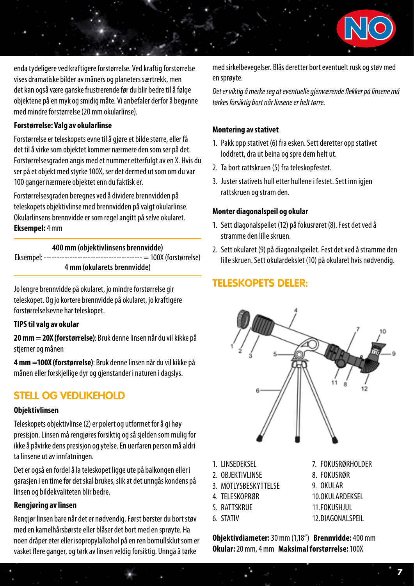

enda tydeligere ved kraftigere forstørrelse. Ved kraftig forstørrelse vises dramatiske bilder av måners og planeters særtrekk, men det kan også være ganske frustrerende før du blir bedre til å følge objektene på en myk og smidig måte. Vi anbefaler derfor å begynne med mindre forstørrelse (20 mm okularlinse).

#### **Forstørrelse: Valg av okularlinse**

Forstørrelse er teleskopets evne til å gjøre et bilde større, eller få det til å virke som objektet kommer nærmere den som ser på det. Forstørrelsesgraden angis med et nummer etterfulgt av en X. Hvis du ser på et objekt med styrke 100X, ser det dermed ut som om du var 100 ganger nærmere objektet enn du faktisk er.

Forstørrelsesgraden beregnes ved å dividere brennvidden på teleskopets objektivlinse med brennvidden på valgt okularlinse. Okularlinsens brennvidde er som regel angitt på selve okularet. **Eksempel:** 4 mm

#### **400 mm (objektivlinsens brennvidde)**

Eksempel: -------------------------------------- = 100X (forstørrelse) **4 mm (okularets brennvidde)**

Jo lengre brennvidde på okularet, jo mindre forstørrelse gir teleskopet. Og jo kortere brennvidde på okularet, jo kraftigere forstørrelselsevne har teleskopet.

#### **TIPS til valg av okular**

**20 mm = 20X (forstørrelse)**: Bruk denne linsen når du vil kikke på stjerner og månen

**4 mm =100X (forstørrelse)**: Bruk denne linsen når du vil kikke på månen eller forskjellige dyr og gjenstander i naturen i dagslys.

## **Stell og vedlikehold**

#### **Objektivlinsen**

Teleskopets objektivlinse (2) er polert og utformet for å gi høy presisjon. Linsen må rengjøres forsiktig og så sjelden som mulig for ikke å påvirke dens presisjon og ytelse. En uerfaren person må aldri ta linsene ut av innfatningen.

Det er også en fordel å la teleskopet ligge ute på balkongen eller i garasjen i en time før det skal brukes, slik at det unngås kondens på linsen og bildekvaliteten blir bedre.

#### **Rengjøring av linsen**

Rengjør linsen bare når det er nødvendig. Først børster du bort støv med en kamelhårsbørste eller blåser det bort med en sprøyte. Ha noen dråper eter eller isopropylalkohol på en ren bomullsklut som er vasket flere ganger, og tørk av linsen veldig forsiktig. Unngå å tørke

med sirkelbevegelser. Blås deretter bort eventuelt rusk og støv med en sprøyte.

*Det er viktig å merke seg at eventuelle gjenværende flekker på linsene må tørkes forsiktig bort når linsene er helt tørre.* 

#### **Montering av stativet**

- 1. Pakk opp stativet (6) fra esken. Sett deretter opp stativet loddrett, dra ut beina og spre dem helt ut.
- 2. Ta bort rattskruen (5) fra teleskopfestet.
- 3. Juster stativets hull etter hullene i festet. Sett inn igjen rattskruen og stram den.

#### **Monter diagonalspeil og okular**

- 1. Sett diagonalspeilet (12) på fokusrøret (8). Fest det ved å stramme den lille skruen.
- 2. Sett okularet (9) på diagonalspeilet. Fest det ved å stramme den lille skruen. Sett okulardekslet (10) på okularet hvis nødvendig.

## **Teleskopets deler:**



- 1. LINSEDEKSEL
- 2. OBJEKTIVLINSE
- 3 MOTLYSBESKYTTELSE
- 4. TELESKOPRØR
- 5. RATTSKRUE
- 6. STATIV
- 7. FOKUSRØRHOLDER
- 8. FOKUSRØR
- 9. OKULAR
- 10.OKULARDEKSEL
- 11.FOKUSHJUL
- 12.DIAGONALSPEIL

**7**

**Objektivdiameter:** 30 mm (1,18") **Brennvidde:** 400 mm **Okular:** 20 mm, 4 mm **Maksimal forstørrelse:** 100X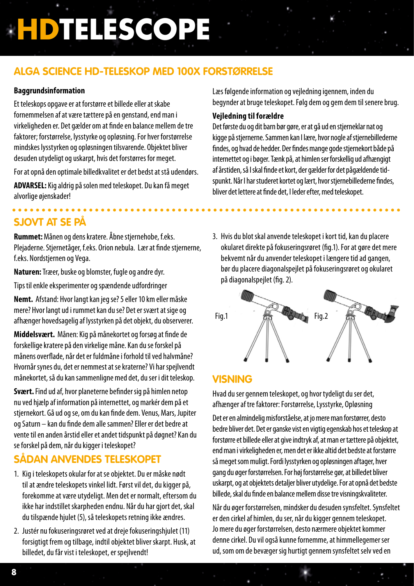## **Alga Science HD-teleskop med 100X forstørrelse**

#### **Baggrundsinformation**

Et teleskops opgave er at forstørre et billede eller at skabe fornemmelsen af at være tættere på en genstand, end man i virkeligheden er. Det gælder om at finde en balance mellem de tre faktorer; forstørrelse, lysstyrke og opløsning. For hver forstørrelse mindskes lysstyrken og opløsningen tilsvarende. Objektet bliver desuden utydeligt og uskarpt, hvis det forstørres for meget.

For at opnå den optimale billedkvalitet er det bedst at stå udendørs.

**ADVARSEL:** Kig aldrig på solen med teleskopet. Du kan få meget alvorlige øjenskader!

## **Sjovt at se på**

**Rummet:** Månen og dens kratere. Åbne stjernehobe, f.eks. Plejaderne. Stjernetåger, f.eks. Orion nebula. Lær at finde stjernerne, f.eks. Nordstjernen og Vega.

**Naturen:** Træer, buske og blomster, fugle og andre dyr.

Tips til enkle eksperimenter og spændende udfordringer

**Nemt.** Afstand: Hvor langt kan jeg se? 5 eller 10 km eller måske mere? Hvor langt ud i rummet kan du se? Det er svært at sige og afhænger hovedsagelig af lysstyrken på det objekt, du observerer.

**Middelsvært.** Månen: Kig på månekortet og forsøg at finde de forskellige kratere på den virkelige måne. Kan du se forskel på månens overflade, når det er fuldmåne i forhold til ved halvmåne? Hvornår synes du, det er nemmest at se kraterne? Vi har spejlvendt månekortet, så du kan sammenligne med det, du ser i dit teleskop.

**Svært.** Find ud af, hvor planeterne befinder sig på himlen netop nu ved hjælp af information på internettet, og markér dem på et stjernekort. Gå ud og se, om du kan finde dem. Venus, Mars, Jupiter og Saturn – kan du finde dem alle sammen? Eller er det bedre at vente til en anden årstid eller et andet tidspunkt på døgnet? Kan du se forskel på dem, når du kigger i teleskopet?

## **Sådan anvendes teleskopet**

- 1. Kig i teleskopets okular for at se objektet. Du er måske nødt til at ændre teleskopets vinkel lidt. Først vil det, du kigger på, forekomme at være utydeligt. Men det er normalt, eftersom du ikke har indstillet skarpheden endnu. Når du har gjort det, skal du tilspænde hjulet (5), så teleskopets retning ikke ændres.
- 2. Justér nu fokuseringsrøret ved at dreje fokuseringshjulet (11) forsigtigt frem og tilbage, indtil objektet bliver skarpt. Husk, at billedet, du får vist i teleskopet, er spejlvendt!

Læs følgende information og vejledning igennem, inden du begynder at bruge teleskopet. Følg dem og gem dem til senere brug.

#### **Vejledning til forældre**

Det første du og dit barn bør gøre, er at gå ud en stjerneklar nat og kigge på stjernerne. Sammen kan I lære, hvor nogle af stjernebillederne findes, og hvad de hedder. Der findes mange gode stjernekort både på internettet og i bøger. Tænk på, at himlen ser forskellig ud afhængigt af årstiden, så I skal finde et kort, der gælder for det pågældende tidspunkt. Når I har studeret kortet og lært, hvor stjernebillederne findes, bliver det lettere at finde det, I leder efter, med teleskopet.

3. Hvis du blot skal anvende teleskopet i kort tid, kan du placere okularet direkte på fokuseringsrøret (fig.1). For at gøre det mere bekvemt når du anvender teleskopet i længere tid ad gangen, bør du placere diagonalspejlet på fokuseringsrøret og okularet på diagonalspejlet (fig. 2).



## **Visning**

Hvad du ser gennem teleskopet, og hvor tydeligt du ser det, afhænger af tre faktorer: Forstørrelse, Lysstyrke, Opløsning

Det er en almindelig misforståelse, at jo mere man forstørrer, desto bedre bliver det. Det er ganske vist en vigtig egenskab hos et teleskop at forstørre et billede eller at give indtryk af, at man er tættere på objektet, end man i virkeligheden er, men det er ikke altid det bedste at forstørre så meget som muligt. Fordi lysstyrken og opløsningen aftager, hver gang du øger forstørrelsen. For høj forstørrelse gør, at billedet bliver uskarpt, og at objektets detaljer bliver utydelige. For at opnå det bedste billede, skal du finde en balance mellem disse tre visningskvaliteter.

Når du øger forstørrelsen, mindsker du desuden synsfeltet. Synsfeltet er den cirkel af himlen, du ser, når du kigger gennem teleskopet. Jo mere du øger forstørrelsen, desto nærmere objektet kommer denne cirkel. Du vil også kunne fornemme, at himmellegemer ser ud, som om de bevæger sig hurtigt gennem synsfeltet selv ved en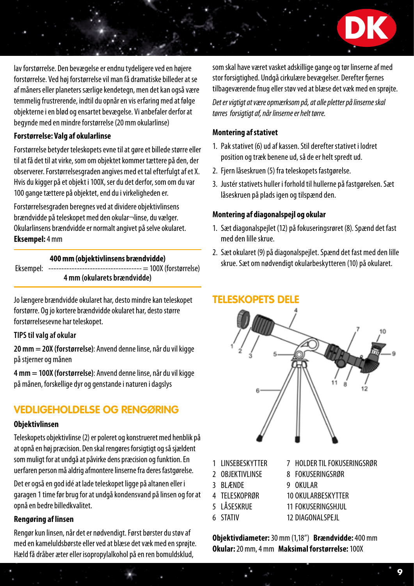lav forstørrelse. Den bevægelse er endnu tydeligere ved en højere forstørrelse. Ved høj forstørrelse vil man få dramatiske billeder at se af måners eller planeters særlige kendetegn, men det kan også være temmelig frustrerende, indtil du opnår en vis erfaring med at følge objekterne i en blød og ensartet bevægelse. Vi anbefaler derfor at begynde med en mindre forstørrelse (20 mm okularlinse)

#### **Forstørrelse: Valg af okularlinse**

Forstørrelse betyder teleskopets evne til at gøre et billede større eller til at få det til at virke, som om objektet kommer tættere på den, der observerer. Forstørrelsesgraden angives med et tal efterfulgt af et X. Hvis du kigger på et objekt i 100X, ser du det derfor, som om du var 100 gange tættere på objektet, end du i virkeligheden er.

Forstørrelsesgraden beregnes ved at dividere objektivlinsens brændvidde på teleskopet med den okular¬linse, du vælger. Okularlinsens brændvidde er normalt angivet på selve okularet. **Eksempel:** 4 mm

#### **400 mm (objektivlinsens brændvidde)**

Eksempel: ------------------------------------ = 100X (forstørrelse) **4 mm (okularets brændvidde)**

Jo længere brændvidde okularet har, desto mindre kan teleskopet forstørre. Og jo kortere brændvidde okularet har, desto større forstørrelsesevne har teleskopet.

#### **TIPS til valg af okular**

**20 mm = 20X (forstørrelse)**: Anvend denne linse, når du vil kigge på stjerner og månen

**4 mm = 100X (forstørrelse)**: Anvend denne linse, når du vil kigge på månen, forskellige dyr og genstande i naturen i dagslys

## **Vedligeholdelse og rengøring**

#### **Objektivlinsen**

Teleskopets objektivlinse (2) er poleret og konstrueret med henblik på at opnå en høj præcision. Den skal rengøres forsigtigt og så sjældent som muligt for at undgå at påvirke dens præcision og funktion. En uerfaren person må aldrig afmontere linserne fra deres fastgørelse.

Det er også en god idé at lade teleskopet ligge på altanen eller i garagen 1 time før brug for at undgå kondensvand på linsen og for at opnå en bedre billedkvalitet.

#### **Rengøring af linsen**

Rengør kun linsen, når det er nødvendigt. Først børster du støv af med en kameluldsbørste eller ved at blæse det væk med en sprøjte. Hæld få dråber æter eller isopropylalkohol på en ren bomuldsklud,

som skal have været vasket adskillige gange og tør linserne af med stor forsigtighed. Undgå cirkulære bevægelser. Derefter fjernes tilbageværende fnug eller støv ved at blæse det væk med en sprøjte.

**DK**

*Det er vigtigt at være opmærksom på, at alle pletter på linserne skal tørres forsigtigt af, når linserne er helt tørre.*

#### **Montering af stativet**

- 1. Pak stativet (6) ud af kassen. Stil derefter stativet i lodret position og træk benene ud, så de er helt spredt ud.
- 2. Fjern låseskruen (5) fra teleskopets fastgørelse.
- 3. Justér stativets huller i forhold til hullerne på fastgørelsen. Sæt låseskruen på plads igen og tilspænd den.

#### **Montering af diagonalspejl og okular**

- 1. Sæt diagonalspejlet (12) på fokuseringsrøret (8). Spænd det fast med den lille skrue.
- 2. Sæt okularet (9) på diagonalspejlet. Spænd det fast med den lille skrue. Sæt om nødvendigt okularbeskytteren (10) på okularet.

### **Teleskopets dele**



- 1 LINSEBESKYTTER
- 2 OBJEKTIVLINSE
- 3 BLÆNDE 9 OKULAR
- 4 TELESKOPRØR
- 5 LÅSESKRUE
- 11 FOKUSERINGSHJUL
- 6 STATIV
- 12 DIAGONALSPEJL

10 OKULARBESKYTTER

8 FOKUSERINGSRØR

7 HOLDER TIL FOKUSERINGSRØR

**Objektivdiameter:** 30 mm (1,18") **Brændvidde:** 400 mm **Okular:** 20 mm, 4 mm **Maksimal forstørrelse:** 100X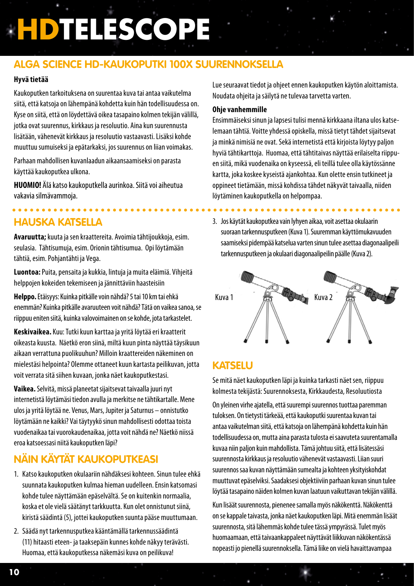## **Alga Science HD-kaukoputki 100X suurennoksella**

#### **Hyvä tietää**

Kaukoputken tarkoituksena on suurentaa kuva tai antaa vaikutelma siitä, että katsoja on lähempänä kohdetta kuin hän todellisuudessa on. Kyse on siitä, että on löydettävä oikea tasapaino kolmen tekijän välillä, jotka ovat suurennus, kirkkaus ja resoluutio. Aina kun suurennusta lisätään, vähenevät kirkkaus ja resoluutio vastaavasti. Lisäksi kohde muuttuu sumuiseksi ja epätarkaksi, jos suurennus on liian voimakas.

Parhaan mahdollisen kuvanlaadun aikaansaamiseksi on parasta käyttää kaukoputkea ulkona.

**HUOMIO!** Älä katso kaukoputkella aurinkoa. Siitä voi aiheutua vakavia silmävammoja.

## **Hauska katsella**

**Avaruutta;** kuuta ja sen kraattereita. Avoimia tähtijoukkoja, esim. seulasia. Tähtisumuja, esim. Orionin tähtisumua. Opi löytämään tähtiä, esim. Pohjantähti ja Vega.

**Luontoa:** Puita, pensaita ja kukkia, lintuja ja muita eläimiä. Vihjeitä helppojen kokeiden tekemiseen ja jännittäviin haasteisiin

**Helppo.** Etäisyys: Kuinka pitkälle voin nähdä? 5 tai 10 km tai ehkä enemmän? Kuinka pitkälle avaruuteen voit nähdä? Tätä on vaikea sanoa, se riippuu eniten siitä, kuinka valovoimainen on se kohde, jota tarkastelet.

**Keskivaikea.** Kuu: Tutki kuun karttaa ja yritä löytää eri kraatterit oikeasta kuusta. Näetkö eron siinä, miltä kuun pinta näyttää täysikuun aikaan verrattuna puolikuuhun? Milloin kraattereiden näkeminen on mielestäsi helpointa? Olemme ottaneet kuun kartasta peilikuvan, jotta voit verrata sitä siihen kuvaan, jonka näet kaukoputkestasi.

**Vaikea.** Selvitä, missä planeetat sijaitsevat taivaalla juuri nyt internetistä löytämäsi tiedon avulla ja merkitse ne tähtikartalle. Mene ulos ja yritä löytää ne. Venus, Mars, Jupiter ja Saturnus – onnistutko löytämään ne kaikki? Vai täytyykö sinun mahdollisesti odottaa toista vuodenaikaa tai vuorokaudenaikaa, jotta voit nähdä ne? Näetkö niissä eroa katsoessasi niitä kaukoputken läpi?

## **Näin käytät kaukoputkeasi**

- 1. Katso kaukoputken okulaariin nähdäksesi kohteen. Sinun tulee ehkä suunnata kaukoputken kulmaa hieman uudelleen. Ensin katsomasi kohde tulee näyttämään epäselvältä. Se on kuitenkin normaalia, koska et ole vielä säätänyt tarkkuutta. Kun olet onnistunut siinä, kiristä säädintä (5), jottei kaukoputken suunta pääse muuttumaan.
- 2. Säädä nyt tarkennusputkea kääntämällä tarkennussäädintä (11) hitaasti eteen- ja taaksepäin kunnes kohde näkyy terävästi. Huomaa, että kaukoputkessa näkemäsi kuva on peilikuva!

Lue seuraavat tiedot ja ohjeet ennen kaukoputken käytön aloittamista. Noudata ohjeita ja säilytä ne tulevaa tarvetta varten.

#### **Ohje vanhemmille**

Ensimmäiseksi sinun ja lapsesi tulisi mennä kirkkaana iltana ulos katselemaan tähtiä. Voitte yhdessä opiskella, missä tietyt tähdet sijaitsevat ja minkä nimisiä ne ovat. Sekä internetistä että kirjoista löytyy paljon hyviä tähtikarttoja. Huomaa, että tähtitaivas näyttää erilaiselta riippuen siitä, mikä vuodenaika on kyseessä, eli teillä tulee olla käytössänne kartta, joka koskee kyseistä ajankohtaa. Kun olette ensin tutkineet ja oppineet tietämään, missä kohdissa tähdet näkyvät taivaalla, niiden löytäminen kaukoputkella on helpompaa.

3. Jos käytät kaukoputkea vain lyhyen aikaa, voit asettaa okulaarin suoraan tarkennusputkeen (Kuva 1). Suuremman käyttömukavuuden saamiseksi pidempää katselua varten sinun tulee asettaa diagonaalipeili tarkennusputkeen ja okulaari diagonaalipeilin päälle (Kuva 2).

. . . . . . . . . .

. . . . . . . . . . . . . . .



### **Katselu**

Se mitä näet kaukoputken läpi ja kuinka tarkasti näet sen, riippuu kolmesta tekijästä: Suurennoksesta, Kirkkaudesta, Resoluutiosta On yleinen virhe ajatella, että suurempi suurennos tuottaa paremman tuloksen. On tietysti tärkeää, että kaukoputki suurentaa kuvan tai antaa vaikutelman siitä, että katsoja on lähempänä kohdetta kuin hän todellisuudessa on, mutta aina parasta tulosta ei saavuteta suurentamalla kuvaa niin paljon kuin mahdollista. Tämä johtuu siitä, että lisätessäsi suurennosta kirkkaus ja resoluutio vähenevät vastaavasti. Liian suuri suurennos saa kuvan näyttämään sumealta ja kohteen yksityiskohdat muuttuvat epäselviksi. Saadaksesi objektiiviin parhaan kuvan sinun tulee löytää tasapaino näiden kolmen kuvan laatuun vaikuttavan tekijän välillä.

Kun lisäät suurennosta, pienenee samalla myös näkökenttä. Näkökenttä on se kappale taivasta, jonka näet kaukoputken läpi. Mitä enemmän lisäät suurennosta, sitä lähemmäs kohde tulee tässä ympyrässä. Tulet myös huomaamaan, että taivaankappaleet näyttävät liikkuvan näkökentässä nopeasti jo pienellä suurennoksella. Tämä liike on vielä havaittavampaa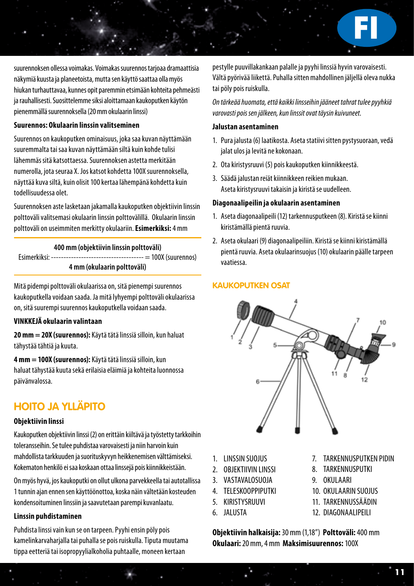**FI**

suurennoksen ollessa voimakas. Voimakas suurennos tarjoaa dramaattisia näkymiä kuusta ja planeetoista, mutta sen käyttö saattaa olla myös hiukan turhauttavaa, kunnes opit paremmin etsimään kohteita pehmeästi ja rauhallisesti. Suosittelemme siksi aloittamaan kaukoputken käytön pienemmällä suurennoksella (20 mm okulaarin linssi)

#### **Suurennos: Okulaarin linssin valitseminen**

Suurennos on kaukoputken ominaisuus, joka saa kuvan näyttämään suuremmalta tai saa kuvan näyttämään siltä kuin kohde tulisi lähemmäs sitä katsottaessa. Suurennoksen astetta merkitään numerolla, jota seuraa X. Jos katsot kohdetta 100X suurennoksella, näyttää kuva siltä, kuin olisit 100 kertaa lähempänä kohdetta kuin todellisuudessa olet.

Suurennoksen aste lasketaan jakamalla kaukoputken objektiivin linssin polttoväli valitsemasi okulaarin linssin polttovälillä. Okulaarin linssin polttoväli on useimmiten merkitty okulaariin. **Esimerkiksi:** 4 mm

#### **400 mm (objektiivin linssin polttoväli)** Esimerkiksi: ------------------------------------- = 100X (suurennos) **4 mm (okulaarin polttoväli)**

Mitä pidempi polttoväli okulaarissa on, sitä pienempi suurennos kaukoputkella voidaan saada. Ja mitä lyhyempi polttoväli okulaarissa on, sitä suurempi suurennos kaukoputkella voidaan saada.

#### **VINKKEJÄ okulaarin valintaan**

**20 mm = 20X (suurennos):** Käytä tätä linssiä silloin, kun haluat tähystää tähtiä ja kuuta.

**4 mm = 100X (suurennos):** Käytä tätä linssiä silloin, kun haluat tähystää kuuta sekä erilaisia eläimiä ja kohteita luonnossa päivänvalossa.

## **Hoito ja ylläpito**

#### **Objektiivin linssi**

Kaukoputken objektiivin linssi (2) on erittäin kiiltävä ja työstetty tarkkoihin toleransseihin. Se tulee puhdistaa varovaisesti ja niin harvoin kuin mahdollista tarkkuuden ja suorituskyvyn heikkenemisen välttämiseksi. Kokematon henkilö ei saa koskaan ottaa linssejä pois kiinnikkeistään.

On myös hyvä, jos kaukoputki on ollut ulkona parvekkeella tai autotallissa 1 tunnin ajan ennen sen käyttöönottoa, koska näin vältetään kosteuden kondensoituminen linssiin ja saavutetaan parempi kuvanlaatu.

#### **Linssin puhdistaminen**

Puhdista linssi vain kun se on tarpeen. Pyyhi ensin pöly pois kamelinkarvaharjalla tai puhalla se pois ruiskulla. Tiputa muutama tippa eetteriä tai isopropyylialkoholia puhtaalle, moneen kertaan

pestylle puuvillakankaan palalle ja pyyhi linssiä hyvin varovaisesti. Vältä pyörivää liikettä. Puhalla sitten mahdollinen jäljellä oleva nukka tai pöly pois ruiskulla.

*On tärkeää huomata, että kaikki linsseihin jääneet tahrat tulee pyyhkiä varovasti pois sen jälkeen, kun linssit ovat täysin kuivuneet.*

#### **Jalustan asentaminen**

- 1. Pura jalusta (6) laatikosta. Aseta statiivi sitten pystysuoraan, vedä jalat ulos ja levitä ne kokonaan.
- 2. Ota kiristysruuvi (5) pois kaukoputken kiinnikkeestä.
- 3. Säädä jalustan reiät kiinnikkeen reikien mukaan. Aseta kiristysruuvi takaisin ja kiristä se uudelleen.

#### **Diagonaalipeilin ja okulaarin asentaminen**

- 1. Aseta diagonaalipeili (12) tarkennusputkeen (8). Kiristä se kiinni kiristämällä pientä ruuvia.
- 2. Aseta okulaari (9) diagonaalipeiliin. Kiristä se kiinni kiristämällä pientä ruuvia. Aseta okulaarinsuojus (10) okulaarin päälle tarpeen vaatiessa.

#### **Kaukoputken osat**



- 1. LINSSIN SUOJUS
- 2. OBJEKTIIVIN LINSSI
- 3. VASTAVALOSUOJA
- 4. TELESKOOPPIPUTKI
- 5. KIRISTYSRUUVI
- 6. JALUSTA
- 7. TARKENNUSPUTKEN PIDIN
- 8. TARKENNUSPUTKI
- 9. OKULAARI
- 10. OKULAARIN SUOJUS
- 11. TARKENNUSSÄÄDIN
- 12. DIAGONAALIPEILI

**Objektiivin halkaisija:** 30 mm (1,18") **Polttoväli:** 400 mm **Okulaari:** 20 mm, 4 mm **Maksimisuurennos:** 100X